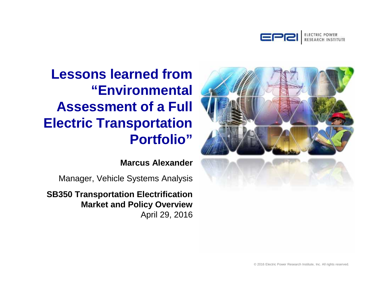



**Lessons learned from "Environmental Assessment of a Full Electric Transportation Portfolio"**

**Marcus Alexander**

Manager, Vehicle Systems Analysis

**SB350 Transportation Electrification Market and Policy Overview** April 29, 2016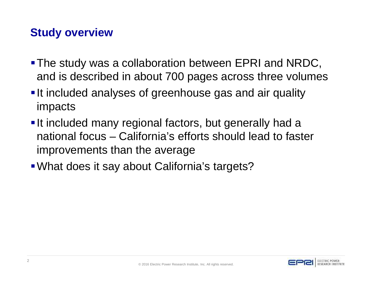# **Study overview**

- **The study was a collaboration between EPRI and NRDC,** and is described in about 700 pages across three volumes
- **It included analyses of greenhouse gas and air quality** impacts
- **It included many regional factors, but generally had a** national focus – California's efforts should lead to faster improvements than the average
- What does it say about California's targets?

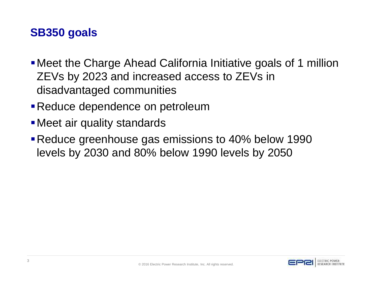## **SB350 goals**

- Meet the Charge Ahead California Initiative goals of 1 million ZEVs by 2023 and increased access to ZEVs in disadvantaged communities
- **Reduce dependence on petroleum**
- **Meet air quality standards**
- **Reduce greenhouse gas emissions to 40% below 1990** levels by 2030 and 80% below 1990 levels by 2050

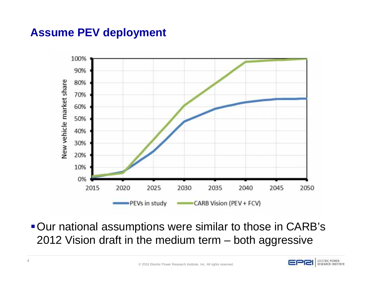## **Assume PEV deployment**



**- Our national assumptions were similar to those in CARB's** 2012 Vision draft in the medium term – both aggressive

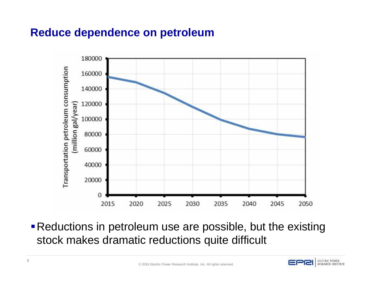### **Reduce dependence on petroleum**



**Reductions in petroleum use are possible, but the existing** stock makes dramatic reductions quite difficult

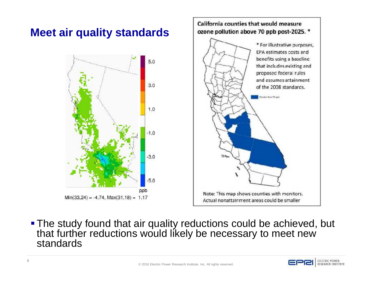

**- The study found that air quality reductions could be achieved, but** that further reductions would likely be necessary to meet new standards

ELECTRIC POWER RESEARCH INSTITUTE

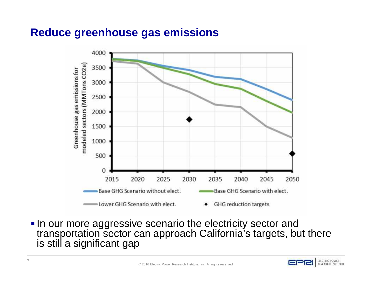### **Reduce greenhouse gas emissions**



**In our more aggressive scenario the electricity sector and** transportation sector can approach California's targets, but there is still a significant gap

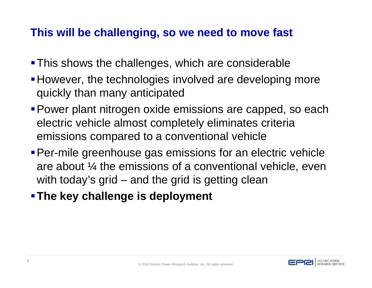## **This will be challenging, so we need to move fast**

- **This shows the challenges, which are considerable**
- **However, the technologies involved are developing more** quickly than many anticipated
- **Power plant nitrogen oxide emissions are capped, so each** electric vehicle almost completely eliminates criteria emissions compared to a conventional vehicle
- **Per-mile greenhouse gas emissions for an electric vehicle** are about ¼ the emissions of a conventional vehicle, even with today's grid – and the grid is getting clean
- **The key challenge is deployment**

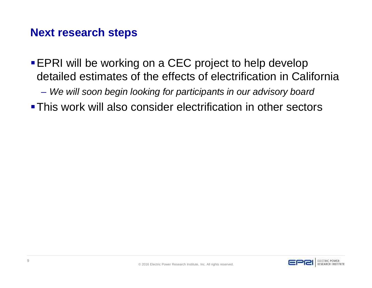### **Next research steps**

- **EPRI will be working on a CEC project to help develop** detailed estimates of the effects of electrification in California
	- *We will soon begin looking for participants in our advisory board*
- **This work will also consider electrification in other sectors**

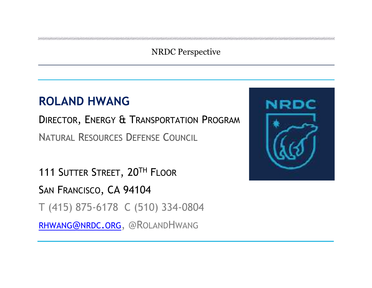### NRDC Perspective

# **ROLAND HWANG**

DIRECTOR, ENERGY & TRANSPORTATION PROGRAM NATURAL RESOURCES DEFENSE COUNCIL

111 SUTTER STREET, 20TH FLOOR SAN FRANCISCO, CA 94104 T (415) 875-6178 C (510) 334-0804 RHWANG@NRDC.ORG, @ROLANDHWANG

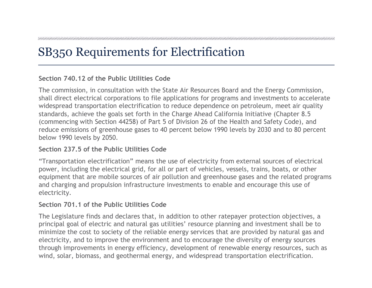# SB350 Requirements for Electrification

#### **Section 740.12 of the Public Utilities Code**

The commission, in consultation with the State Air Resources Board and the Energy Commission, shall direct electrical corporations to file applications for programs and investments to accelerate widespread transportation electrification to reduce dependence on petroleum, meet air quality standards, achieve the goals set forth in the Charge Ahead California Initiative (Chapter 8.5 (commencing with Section 44258) of Part 5 of Division 26 of the Health and Safety Code), and reduce emissions of greenhouse gases to 40 percent below 1990 levels by 2030 and to 80 percent below 1990 levels by 2050.

#### **Section 237.5 of the Public Utilities Code**

"Transportation electrification" means the use of electricity from external sources of electrical power, including the electrical grid, for all or part of vehicles, vessels, trains, boats, or other equipment that are mobile sources of air pollution and greenhouse gases and the related programs and charging and propulsion infrastructure investments to enable and encourage this use of electricity.

### **Section 701.1 of the Public Utilities Code**

The Legislature finds and declares that, in addition to other ratepayer protection objectives, a principal goal of electric and natural gas utilities' resource planning and investment shall be to minimize the cost to society of the reliable energy services that are provided by natural gas and electricity, and to improve the environment and to encourage the diversity of energy sources through improvements in energy efficiency, development of renewable energy resources, such as wind, solar, biomass, and geothermal energy, and widespread transportation electrification.